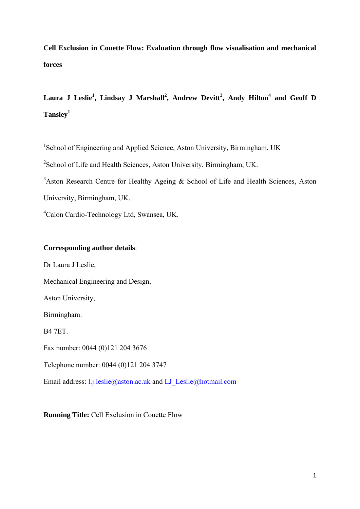**Cell Exclusion in Couette Flow: Evaluation through flow visualisation and mechanical forces** 

Laura J Leslie<sup>1</sup>, Lindsay J Marshall<sup>2</sup>, Andrew Devitt<sup>3</sup>, Andy Hilton<sup>4</sup> and Geoff D **Tansley1**

<sup>1</sup>School of Engineering and Applied Science, Aston University, Birmingham, UK

<sup>2</sup> School of Life and Health Sciences, Aston University, Birmingham, UK.

<sup>3</sup>Aston Research Centre for Healthy Ageing & School of Life and Health Sciences, Aston University, Birmingham, UK.

4 Calon Cardio-Technology Ltd, Swansea, UK.

# **Corresponding author details**:

Dr Laura J Leslie, Mechanical Engineering and Design, Aston University, Birmingham. B4 7ET. Fax number: 0044 (0)121 204 3676 Telephone number: 0044 (0)121 204 3747 Email address: l.j.leslie@aston.ac.uk and LJ\_Leslie@hotmail.com

**Running Title:** Cell Exclusion in Couette Flow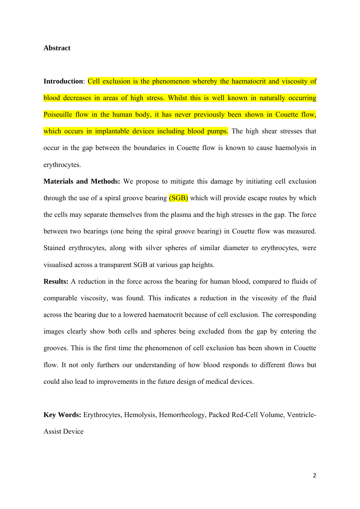## **Abstract**

**Introduction**: Cell exclusion is the phenomenon whereby the haematocrit and viscosity of blood decreases in areas of high stress. Whilst this is well known in naturally occurring Poiseuille flow in the human body, it has never previously been shown in Couette flow, which occurs in implantable devices including blood pumps. The high shear stresses that occur in the gap between the boundaries in Couette flow is known to cause haemolysis in erythrocytes.

**Materials and Methods:** We propose to mitigate this damage by initiating cell exclusion through the use of a spiral groove bearing (SGB) which will provide escape routes by which the cells may separate themselves from the plasma and the high stresses in the gap. The force between two bearings (one being the spiral groove bearing) in Couette flow was measured. Stained erythrocytes, along with silver spheres of similar diameter to erythrocytes, were visualised across a transparent SGB at various gap heights.

**Results:** A reduction in the force across the bearing for human blood, compared to fluids of comparable viscosity, was found. This indicates a reduction in the viscosity of the fluid across the bearing due to a lowered haematocrit because of cell exclusion. The corresponding images clearly show both cells and spheres being excluded from the gap by entering the grooves. This is the first time the phenomenon of cell exclusion has been shown in Couette flow. It not only furthers our understanding of how blood responds to different flows but could also lead to improvements in the future design of medical devices.

**Key Words:** Erythrocytes, Hemolysis, Hemorrheology, Packed Red-Cell Volume, Ventricle-Assist Device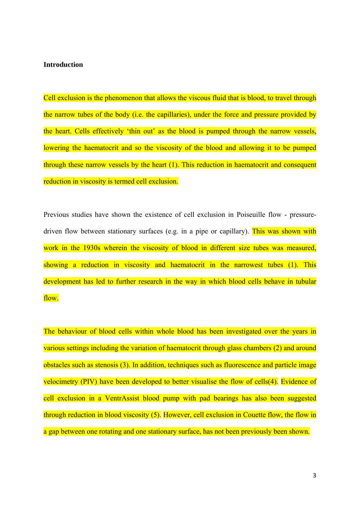#### **Introduction**

Cell exclusion is the phenomenon that allows the viscous fluid that is blood, to travel through the narrow tubes of the body (i.e. the capillaries), under the force and pressure provided by the heart. Cells effectively 'thin out' as the blood is pumped through the narrow vessels, lowering the haematocrit and so the viscosity of the blood and allowing it to be pumped through these narrow vessels by the heart (1). This reduction in haematocrit and consequent reduction in viscosity is termed cell exclusion.

Previous studies have shown the existence of cell exclusion in Poiseuille flow - pressuredriven flow between stationary surfaces (e.g. in a pipe or capillary). This was shown with work in the 1930s wherein the viscosity of blood in different size tubes was measured, showing a reduction in viscosity and haematocrit in the narrowest tubes (1). This development has led to further research in the way in which blood cells behave in tubular flow.

The behaviour of blood cells within whole blood has been investigated over the years in various settings including the variation of haematocrit through glass chambers (2) and around obstacles such as stenosis (3). In addition, techniques such as fluorescence and particle image velocimetry (PIV) have been developed to better visualise the flow of cells(4). Evidence of cell exclusion in a VentrAssist blood pump with pad bearings has also been suggested through reduction in blood viscosity (5). However, cell exclusion in Couette flow, the flow in a gap between one rotating and one stationary surface, has not been previously been shown.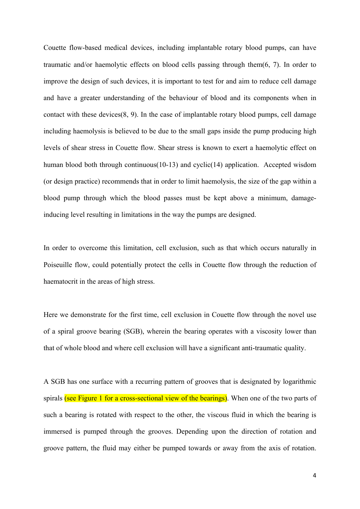Couette flow-based medical devices, including implantable rotary blood pumps, can have traumatic and/or haemolytic effects on blood cells passing through them(6, 7). In order to improve the design of such devices, it is important to test for and aim to reduce cell damage and have a greater understanding of the behaviour of blood and its components when in contact with these devices(8, 9). In the case of implantable rotary blood pumps, cell damage including haemolysis is believed to be due to the small gaps inside the pump producing high levels of shear stress in Couette flow. Shear stress is known to exert a haemolytic effect on human blood both through continuous(10-13) and cyclic(14) application. Accepted wisdom (or design practice) recommends that in order to limit haemolysis, the size of the gap within a blood pump through which the blood passes must be kept above a minimum, damageinducing level resulting in limitations in the way the pumps are designed.

In order to overcome this limitation, cell exclusion, such as that which occurs naturally in Poiseuille flow, could potentially protect the cells in Couette flow through the reduction of haematocrit in the areas of high stress.

Here we demonstrate for the first time, cell exclusion in Couette flow through the novel use of a spiral groove bearing (SGB), wherein the bearing operates with a viscosity lower than that of whole blood and where cell exclusion will have a significant anti-traumatic quality.

A SGB has one surface with a recurring pattern of grooves that is designated by logarithmic spirals (see Figure 1 for a cross-sectional view of the bearings). When one of the two parts of such a bearing is rotated with respect to the other, the viscous fluid in which the bearing is immersed is pumped through the grooves. Depending upon the direction of rotation and groove pattern, the fluid may either be pumped towards or away from the axis of rotation.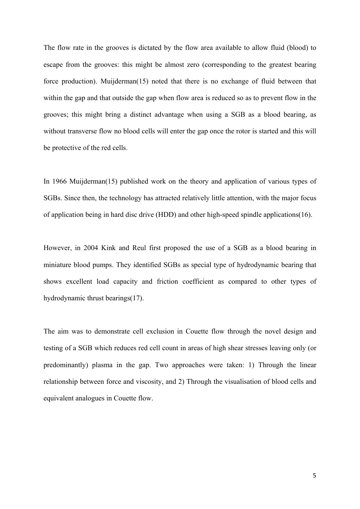The flow rate in the grooves is dictated by the flow area available to allow fluid (blood) to escape from the grooves: this might be almost zero (corresponding to the greatest bearing force production). Muijderman(15) noted that there is no exchange of fluid between that within the gap and that outside the gap when flow area is reduced so as to prevent flow in the grooves; this might bring a distinct advantage when using a SGB as a blood bearing, as without transverse flow no blood cells will enter the gap once the rotor is started and this will be protective of the red cells.

In 1966 Muijderman(15) published work on the theory and application of various types of SGBs. Since then, the technology has attracted relatively little attention, with the major focus of application being in hard disc drive (HDD) and other high-speed spindle applications(16).

However, in 2004 Kink and Reul first proposed the use of a SGB as a blood bearing in miniature blood pumps. They identified SGBs as special type of hydrodynamic bearing that shows excellent load capacity and friction coefficient as compared to other types of hydrodynamic thrust bearings(17).

The aim was to demonstrate cell exclusion in Couette flow through the novel design and testing of a SGB which reduces red cell count in areas of high shear stresses leaving only (or predominantly) plasma in the gap. Two approaches were taken: 1) Through the linear relationship between force and viscosity, and 2) Through the visualisation of blood cells and equivalent analogues in Couette flow.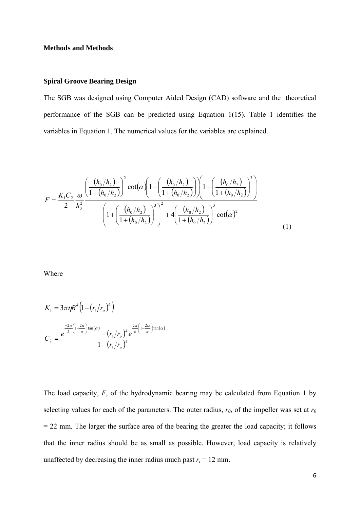# **Methods and Methods**

#### **Spiral Groove Bearing Design**

The SGB was designed using Computer Aided Design (CAD) software and the theoretical performance of the SGB can be predicted using Equation 1(15). Table 1 identifies the variables in Equation 1. The numerical values for the variables are explained.

$$
F = \frac{K_1 C_2}{2} \frac{\omega}{h_0^2} \frac{\left(\frac{(h_0/h_2)}{1 + (h_0/h_2)}\right)^2 \cot(\alpha) \left(1 - \left(\frac{(h_0/h_2)}{1 + (h_0/h_2)}\right)\right) \left(1 - \left(\frac{(h_0/h_2)}{1 + (h_0/h_2)}\right)^3\right)}{\left(1 + \left(\frac{(h_0/h_2)}{1 + (h_0/h_2)}\right)^3\right)^2 + 4\left(\frac{(h_0/h_2)}{1 + (h_0/h_2)}\right)^3 \cot(\alpha)^2}
$$
(1)

Where

$$
K_1 = 3\pi \eta R^4 \left( 1 - \left( r_i / r_o \right)^4 \right)
$$
  

$$
C_2 = \frac{e^{\frac{-2\pi}{k} \left( 1 - \frac{2\alpha}{\pi} \right) \tan(\alpha)} - \left( r_i / r_o \right)^4 e^{\frac{2\pi}{k} \left( 1 - \frac{2\alpha}{\pi} \right) \tan(\alpha) - \left( r_i / r_o \right)^4}
$$

The load capacity, *F*, of the hydrodynamic bearing may be calculated from Equation 1 by selecting values for each of the parameters. The outer radius,  $r_0$ , of the impeller was set at  $r_0$  $= 22$  mm. The larger the surface area of the bearing the greater the load capacity; it follows that the inner radius should be as small as possible. However, load capacity is relatively unaffected by decreasing the inner radius much past  $r_i = 12$  mm.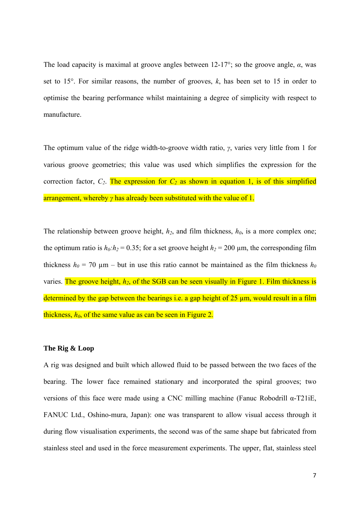The load capacity is maximal at groove angles between 12-17°; so the groove angle, *α*, was set to 15°. For similar reasons, the number of grooves, *k*, has been set to 15 in order to optimise the bearing performance whilst maintaining a degree of simplicity with respect to manufacture.

The optimum value of the ridge width-to-groove width ratio, *γ*, varies very little from 1 for various groove geometries; this value was used which simplifies the expression for the correction factor,  $C_2$ . The expression for  $C_2$  as shown in equation 1, is of this simplified arrangement, whereby *γ* has already been substituted with the value of 1.

The relationship between groove height,  $h_2$ , and film thickness,  $h_0$ , is a more complex one; the optimum ratio is  $h_0$ : $h_2$  = 0.35; for a set groove height  $h_2$  = 200 µm, the corresponding film thickness  $h_0 = 70 \text{ }\mu\text{m}$  – but in use this ratio cannot be maintained as the film thickness  $h_0$ varies. The groove height,  $h_2$ , of the SGB can be seen visually in Figure 1. Film thickness is determined by the gap between the bearings i.e. a gap height of 25 um, would result in a film thickness,  $h_0$ , of the same value as can be seen in Figure 2.

## **The Rig & Loop**

A rig was designed and built which allowed fluid to be passed between the two faces of the bearing. The lower face remained stationary and incorporated the spiral grooves; two versions of this face were made using a CNC milling machine (Fanuc Robodrill α-T21iE, FANUC Ltd., Oshino-mura, Japan): one was transparent to allow visual access through it during flow visualisation experiments, the second was of the same shape but fabricated from stainless steel and used in the force measurement experiments. The upper, flat, stainless steel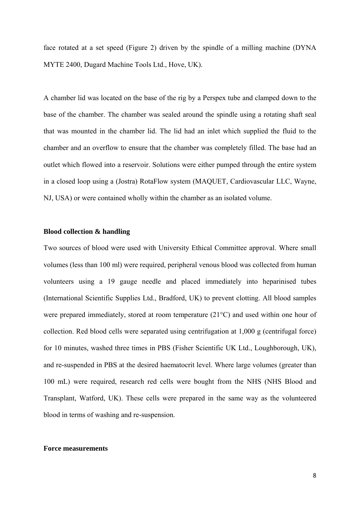face rotated at a set speed (Figure 2) driven by the spindle of a milling machine (DYNA MYTE 2400, Dugard Machine Tools Ltd., Hove, UK).

A chamber lid was located on the base of the rig by a Perspex tube and clamped down to the base of the chamber. The chamber was sealed around the spindle using a rotating shaft seal that was mounted in the chamber lid. The lid had an inlet which supplied the fluid to the chamber and an overflow to ensure that the chamber was completely filled. The base had an outlet which flowed into a reservoir. Solutions were either pumped through the entire system in a closed loop using a (Jostra) RotaFlow system (MAQUET, Cardiovascular LLC, Wayne, NJ, USA) or were contained wholly within the chamber as an isolated volume.

# **Blood collection & handling**

Two sources of blood were used with University Ethical Committee approval. Where small volumes (less than 100 ml) were required, peripheral venous blood was collected from human volunteers using a 19 gauge needle and placed immediately into heparinised tubes (International Scientific Supplies Ltd., Bradford, UK) to prevent clotting. All blood samples were prepared immediately, stored at room temperature (21°C) and used within one hour of collection. Red blood cells were separated using centrifugation at 1,000 g (centrifugal force) for 10 minutes, washed three times in PBS (Fisher Scientific UK Ltd., Loughborough, UK), and re-suspended in PBS at the desired haematocrit level. Where large volumes (greater than 100 mL) were required, research red cells were bought from the NHS (NHS Blood and Transplant, Watford, UK). These cells were prepared in the same way as the volunteered blood in terms of washing and re-suspension.

## **Force measurements**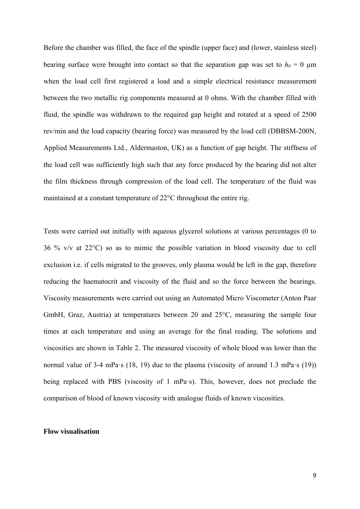Before the chamber was filled, the face of the spindle (upper face) and (lower, stainless steel) bearing surface were brought into contact so that the separation gap was set to  $h_0 = 0 \mu m$ when the load cell first registered a load and a simple electrical resistance measurement between the two metallic rig components measured at 0 ohms. With the chamber filled with fluid, the spindle was withdrawn to the required gap height and rotated at a speed of 2500 rev/min and the load capacity (bearing force) was measured by the load cell (DBBSM-200N, Applied Measurements Ltd., Aldermaston, UK) as a function of gap height. The stiffness of the load cell was sufficiently high such that any force produced by the bearing did not alter the film thickness through compression of the load cell. The temperature of the fluid was maintained at a constant temperature of 22°C throughout the entire rig.

Tests were carried out initially with aqueous glycerol solutions at various percentages (0 to 36 % v/v at 22°C) so as to mimic the possible variation in blood viscosity due to cell exclusion i.e. if cells migrated to the grooves, only plasma would be left in the gap, therefore reducing the haematocrit and viscosity of the fluid and so the force between the bearings. Viscosity measurements were carried out using an Automated Micro Viscometer (Anton Paar GmbH, Graz, Austria) at temperatures between 20 and 25°C, measuring the sample four times at each temperature and using an average for the final reading. The solutions and viscosities are shown in Table 2. The measured viscosity of whole blood was lower than the normal value of 3-4 mPa·s (18, 19) due to the plasma (viscosity of around 1.3 mPa·s (19)) being replaced with PBS (viscosity of 1 mPa·s). This, however, does not preclude the comparison of blood of known viscosity with analogue fluids of known viscosities.

#### **Flow visualisation**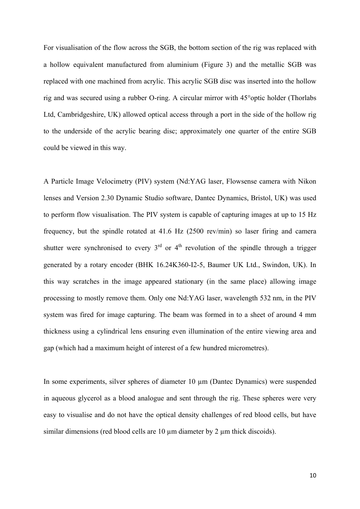For visualisation of the flow across the SGB, the bottom section of the rig was replaced with a hollow equivalent manufactured from aluminium (Figure 3) and the metallic SGB was replaced with one machined from acrylic. This acrylic SGB disc was inserted into the hollow rig and was secured using a rubber O-ring. A circular mirror with 45°optic holder (Thorlabs Ltd, Cambridgeshire, UK) allowed optical access through a port in the side of the hollow rig to the underside of the acrylic bearing disc; approximately one quarter of the entire SGB could be viewed in this way.

A Particle Image Velocimetry (PIV) system (Nd:YAG laser, Flowsense camera with Nikon lenses and Version 2.30 Dynamic Studio software, Dantec Dynamics, Bristol, UK) was used to perform flow visualisation. The PIV system is capable of capturing images at up to 15 Hz frequency, but the spindle rotated at 41.6 Hz (2500 rev/min) so laser firing and camera shutter were synchronised to every  $3<sup>rd</sup>$  or  $4<sup>th</sup>$  revolution of the spindle through a trigger generated by a rotary encoder (BHK 16.24K360-I2-5, Baumer UK Ltd., Swindon, UK). In this way scratches in the image appeared stationary (in the same place) allowing image processing to mostly remove them. Only one Nd:YAG laser, wavelength 532 nm, in the PIV system was fired for image capturing. The beam was formed in to a sheet of around 4 mm thickness using a cylindrical lens ensuring even illumination of the entire viewing area and gap (which had a maximum height of interest of a few hundred micrometres).

In some experiments, silver spheres of diameter 10 µm (Dantec Dynamics) were suspended in aqueous glycerol as a blood analogue and sent through the rig. These spheres were very easy to visualise and do not have the optical density challenges of red blood cells, but have similar dimensions (red blood cells are  $10 \mu$ m diameter by  $2 \mu$ m thick discoids).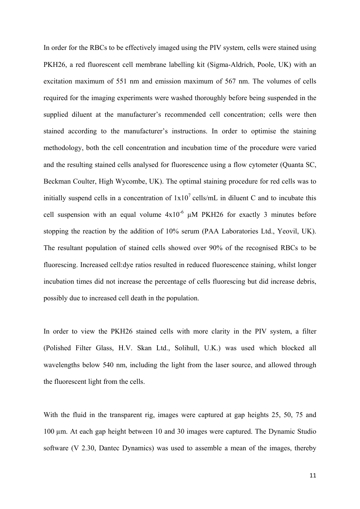In order for the RBCs to be effectively imaged using the PIV system, cells were stained using PKH26, a red fluorescent cell membrane labelling kit (Sigma-Aldrich, Poole, UK) with an excitation maximum of 551 nm and emission maximum of 567 nm. The volumes of cells required for the imaging experiments were washed thoroughly before being suspended in the supplied diluent at the manufacturer's recommended cell concentration; cells were then stained according to the manufacturer's instructions. In order to optimise the staining methodology, both the cell concentration and incubation time of the procedure were varied and the resulting stained cells analysed for fluorescence using a flow cytometer (Quanta SC, Beckman Coulter, High Wycombe, UK). The optimal staining procedure for red cells was to initially suspend cells in a concentration of  $1x10^7$  cells/mL in diluent C and to incubate this cell suspension with an equal volume  $4x10^{-6}$   $\mu$ M PKH26 for exactly 3 minutes before stopping the reaction by the addition of 10% serum (PAA Laboratories Ltd., Yeovil, UK). The resultant population of stained cells showed over 90% of the recognised RBCs to be fluorescing. Increased cell:dye ratios resulted in reduced fluorescence staining, whilst longer incubation times did not increase the percentage of cells fluorescing but did increase debris, possibly due to increased cell death in the population.

In order to view the PKH26 stained cells with more clarity in the PIV system, a filter (Polished Filter Glass, H.V. Skan Ltd., Solihull, U.K.) was used which blocked all wavelengths below 540 nm, including the light from the laser source, and allowed through the fluorescent light from the cells.

With the fluid in the transparent rig, images were captured at gap heights 25, 50, 75 and 100 µm. At each gap height between 10 and 30 images were captured. The Dynamic Studio software (V 2.30, Dantec Dynamics) was used to assemble a mean of the images, thereby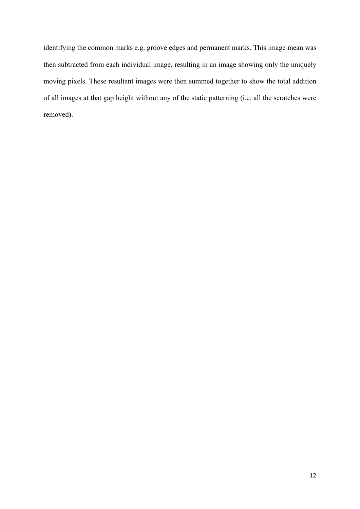identifying the common marks e.g. groove edges and permanent marks. This image mean was then subtracted from each individual image, resulting in an image showing only the uniquely moving pixels. These resultant images were then summed together to show the total addition of all images at that gap height without any of the static patterning (i.e. all the scratches were removed).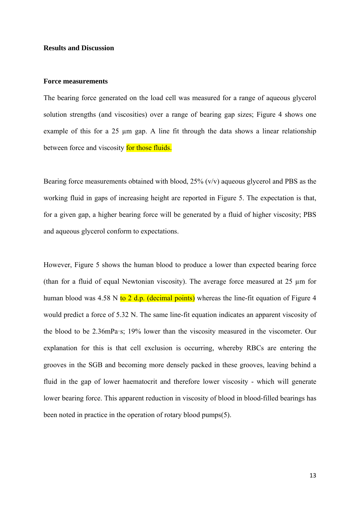## **Results and Discussion**

#### **Force measurements**

The bearing force generated on the load cell was measured for a range of aqueous glycerol solution strengths (and viscosities) over a range of bearing gap sizes; Figure 4 shows one example of this for a  $25 \mu m$  gap. A line fit through the data shows a linear relationship between force and viscosity for those fluids.

Bearing force measurements obtained with blood, 25% (v/v) aqueous glycerol and PBS as the working fluid in gaps of increasing height are reported in Figure 5. The expectation is that, for a given gap, a higher bearing force will be generated by a fluid of higher viscosity; PBS and aqueous glycerol conform to expectations.

However, Figure 5 shows the human blood to produce a lower than expected bearing force (than for a fluid of equal Newtonian viscosity). The average force measured at 25 µm for human blood was 4.58 N to  $2$  d.p. (decimal points) whereas the line-fit equation of Figure 4 would predict a force of 5.32 N. The same line-fit equation indicates an apparent viscosity of the blood to be 2.36mPa·s; 19% lower than the viscosity measured in the viscometer. Our explanation for this is that cell exclusion is occurring, whereby RBCs are entering the grooves in the SGB and becoming more densely packed in these grooves, leaving behind a fluid in the gap of lower haematocrit and therefore lower viscosity - which will generate lower bearing force. This apparent reduction in viscosity of blood in blood-filled bearings has been noted in practice in the operation of rotary blood pumps(5).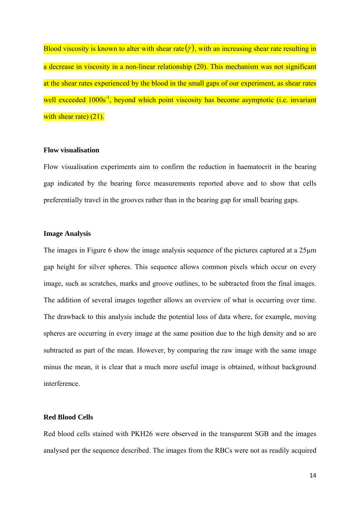Blood viscosity is known to alter with shear rate  $(\dot{\gamma})$ , with an increasing shear rate resulting in a decrease in viscosity in a non-linear relationship (20). This mechanism was not significant at the shear rates experienced by the blood in the small gaps of our experiment, as shear rates well exceeded  $1000s<sup>-1</sup>$ , beyond which point viscosity has become asymptotic (i.e. invariant with shear rate) (21).

# **Flow visualisation**

Flow visualisation experiments aim to confirm the reduction in haematocrit in the bearing gap indicated by the bearing force measurements reported above and to show that cells preferentially travel in the grooves rather than in the bearing gap for small bearing gaps.

# **Image Analysis**

The images in Figure 6 show the image analysis sequence of the pictures captured at a 25µm gap height for silver spheres. This sequence allows common pixels which occur on every image, such as scratches, marks and groove outlines, to be subtracted from the final images. The addition of several images together allows an overview of what is occurring over time. The drawback to this analysis include the potential loss of data where, for example, moving spheres are occurring in every image at the same position due to the high density and so are subtracted as part of the mean. However, by comparing the raw image with the same image minus the mean, it is clear that a much more useful image is obtained, without background interference.

## **Red Blood Cells**

Red blood cells stained with PKH26 were observed in the transparent SGB and the images analysed per the sequence described. The images from the RBCs were not as readily acquired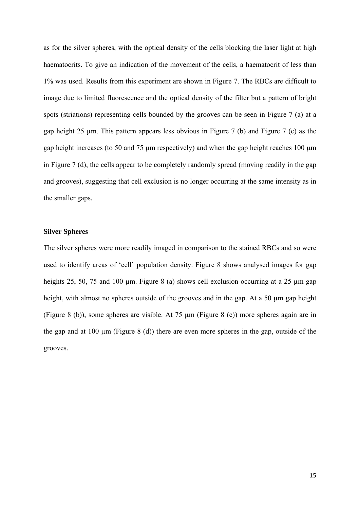as for the silver spheres, with the optical density of the cells blocking the laser light at high haematocrits. To give an indication of the movement of the cells, a haematocrit of less than 1% was used. Results from this experiment are shown in Figure 7. The RBCs are difficult to image due to limited fluorescence and the optical density of the filter but a pattern of bright spots (striations) representing cells bounded by the grooves can be seen in Figure 7 (a) at a gap height 25 µm. This pattern appears less obvious in Figure 7 (b) and Figure 7 (c) as the gap height increases (to 50 and 75 µm respectively) and when the gap height reaches 100 µm in Figure 7 (d), the cells appear to be completely randomly spread (moving readily in the gap and grooves), suggesting that cell exclusion is no longer occurring at the same intensity as in the smaller gaps.

# **Silver Spheres**

The silver spheres were more readily imaged in comparison to the stained RBCs and so were used to identify areas of 'cell' population density. Figure 8 shows analysed images for gap heights 25, 50, 75 and 100 µm. Figure 8 (a) shows cell exclusion occurring at a 25 µm gap height, with almost no spheres outside of the grooves and in the gap. At a 50 µm gap height (Figure 8 (b)), some spheres are visible. At 75 µm (Figure 8 (c)) more spheres again are in the gap and at 100  $\mu$ m (Figure 8 (d)) there are even more spheres in the gap, outside of the grooves.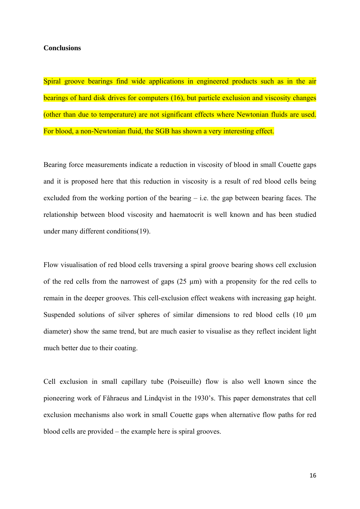#### **Conclusions**

Spiral groove bearings find wide applications in engineered products such as in the air bearings of hard disk drives for computers (16), but particle exclusion and viscosity changes (other than due to temperature) are not significant effects where Newtonian fluids are used. For blood, a non-Newtonian fluid, the SGB has shown a very interesting effect.

Bearing force measurements indicate a reduction in viscosity of blood in small Couette gaps and it is proposed here that this reduction in viscosity is a result of red blood cells being excluded from the working portion of the bearing  $-$  i.e. the gap between bearing faces. The relationship between blood viscosity and haematocrit is well known and has been studied under many different conditions(19).

Flow visualisation of red blood cells traversing a spiral groove bearing shows cell exclusion of the red cells from the narrowest of gaps  $(25 \text{ }\mu\text{m})$  with a propensity for the red cells to remain in the deeper grooves. This cell-exclusion effect weakens with increasing gap height. Suspended solutions of silver spheres of similar dimensions to red blood cells (10  $\mu$ m diameter) show the same trend, but are much easier to visualise as they reflect incident light much better due to their coating.

Cell exclusion in small capillary tube (Poiseuille) flow is also well known since the pioneering work of Fåhraeus and Lindqvist in the 1930's. This paper demonstrates that cell exclusion mechanisms also work in small Couette gaps when alternative flow paths for red blood cells are provided – the example here is spiral grooves.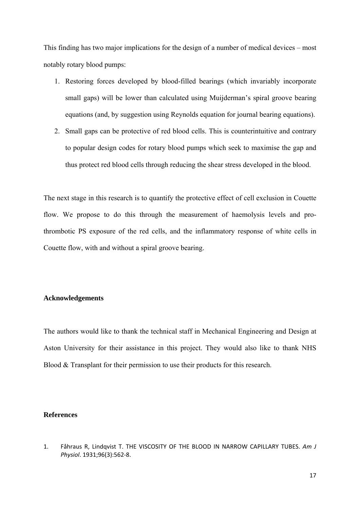This finding has two major implications for the design of a number of medical devices – most notably rotary blood pumps:

- 1. Restoring forces developed by blood-filled bearings (which invariably incorporate small gaps) will be lower than calculated using Muijderman's spiral groove bearing equations (and, by suggestion using Reynolds equation for journal bearing equations).
- 2. Small gaps can be protective of red blood cells. This is counterintuitive and contrary to popular design codes for rotary blood pumps which seek to maximise the gap and thus protect red blood cells through reducing the shear stress developed in the blood.

The next stage in this research is to quantify the protective effect of cell exclusion in Couette flow. We propose to do this through the measurement of haemolysis levels and prothrombotic PS exposure of the red cells, and the inflammatory response of white cells in Couette flow, with and without a spiral groove bearing.

# **Acknowledgements**

The authors would like to thank the technical staff in Mechanical Engineering and Design at Aston University for their assistance in this project. They would also like to thank NHS Blood & Transplant for their permission to use their products for this research.

# **References**

1. Fåhraus R, Lindqvist T. THE VISCOSITY OF THE BLOOD IN NARROW CAPILLARY TUBES. *Am J Physiol*. 1931;96(3):562‐8.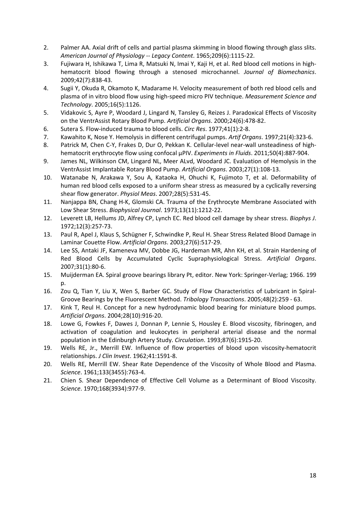- 2. Palmer AA. Axial drift of cells and partial plasma skimming in blood flowing through glass slits. *American Journal of Physiology ‐‐ Legacy Content*. 1965;209(6):1115‐22.
- 3. Fujiwara H, Ishikawa T, Lima R, Matsuki N, Imai Y, Kaji H, et al. Red blood cell motions in high‐ hematocrit blood flowing through a stenosed microchannel. *Journal of Biomechanics*. 2009;42(7):838‐43.
- 4. Sugii Y, Okuda R, Okamoto K, Madarame H. Velocity measurement of both red blood cells and plasma of in vitro blood flow using high‐speed micro PIV technique. *Measurement Science and Technology*. 2005;16(5):1126.
- 5. Vidakovic S, Ayre P, Woodard J, Lingard N, Tansley G, Reizes J. Paradoxical Effects of Viscosity on the VentrAssist Rotary Blood Pump. *Artificial Organs*. 2000;24(6):478‐82.
- 6. Sutera S. Flow‐induced trauma to blood cells. *Circ Res*. 1977;41(1):2‐8.
- 7. Kawahito K, Nose Y. Hemolysis in different centrifugal pumps. *Artif Organs*. 1997;21(4):323‐6.
- 8. Patrick M, Chen C-Y, Frakes D, Dur O, Pekkan K. Cellular-level near-wall unsteadiness of highhematocrit erythrocyte flow using confocal μPIV. *Experiments in Fluids*. 2011;50(4):887‐904.
- 9. James NL, Wilkinson CM, Lingard NL, Meer ALvd, Woodard JC. Evaluation of Hemolysis in the VentrAssist Implantable Rotary Blood Pump. *Artificial Organs*. 2003;27(1):108‐13.
- 10. Watanabe N, Arakawa Y, Sou A, Kataoka H, Ohuchi K, Fujimoto T, et al. Deformability of human red blood cells exposed to a uniform shear stress as measured by a cyclically reversing shear flow generator. *Physiol Meas*. 2007;28(5):531‐45.
- 11. Nanjappa BN, Chang H-K, Glomski CA. Trauma of the Erythrocyte Membrane Associated with Low Shear Stress. *Biophysical Journal*. 1973;13(11):1212‐22.
- 12. Leverett LB, Hellums JD, Alfrey CP, Lynch EC. Red blood cell damage by shear stress. *Biophys J*. 1972;12(3):257‐73.
- 13. Paul R, Apel J, Klaus S, Schügner F, Schwindke P, Reul H. Shear Stress Related Blood Damage in Laminar Couette Flow. *Artificial Organs*. 2003;27(6):517‐29.
- 14. Lee SS, Antaki JF, Kameneva MV, Dobbe JG, Hardeman MR, Ahn KH, et al. Strain Hardening of Red Blood Cells by Accumulated Cyclic Supraphysiological Stress. *Artificial Organs*. 2007;31(1):80‐6.
- 15. Muijderman EA. Spiral groove bearings library Pt, editor. New York: Springer‐Verlag; 1966. 199  $n$ .
- 16. Zou Q, Tian Y, Liu X, Wen S, Barber GC. Study of Flow Characteristics of Lubricant in Spiral‐ Groove Bearings by the Fluorescent Method. *Tribology Transactions*. 2005;48(2):259 ‐ 63.
- 17. Kink T, Reul H. Concept for a new hydrodynamic blood bearing for miniature blood pumps. *Artificial Organs*. 2004;28(10):916‐20.
- 18. Lowe G, Fowkes F, Dawes J, Donnan P, Lennie S, Housley E. Blood viscosity, fibrinogen, and activation of coagulation and leukocytes in peripheral arterial disease and the normal population in the Edinburgh Artery Study. *Circulation*. 1993;87(6):1915‐20.
- 19. Wells RE, Jr., Merrill EW. Influence of flow properties of blood upon viscosity-hematocrit relationships. *J Clin Invest*. 1962;41:1591‐8.
- 20. Wells RE, Merrill EW. Shear Rate Dependence of the Viscosity of Whole Blood and Plasma. *Science*. 1961;133(3455):763‐4.
- 21. Chien S. Shear Dependence of Effective Cell Volume as a Determinant of Blood Viscosity. *Science*. 1970;168(3934):977‐9.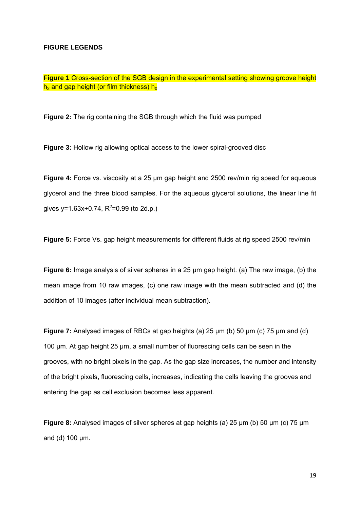#### **FIGURE LEGENDS**

**Figure 1** Cross-section of the SGB design in the experimental setting showing groove height  $h_2$  and gap height (or film thickness)  $h_0$ 

**Figure 2:** The rig containing the SGB through which the fluid was pumped

**Figure 3:** Hollow rig allowing optical access to the lower spiral-grooved disc

**Figure 4:** Force vs. viscosity at a 25 µm gap height and 2500 rev/min rig speed for aqueous glycerol and the three blood samples. For the aqueous glycerol solutions, the linear line fit gives y=1.63x+0.74,  $R^2$ =0.99 (to 2d.p.)

**Figure 5:** Force Vs. gap height measurements for different fluids at rig speed 2500 rev/min

**Figure 6:** Image analysis of silver spheres in a 25 µm gap height. (a) The raw image, (b) the mean image from 10 raw images, (c) one raw image with the mean subtracted and (d) the addition of 10 images (after individual mean subtraction).

**Figure 7:** Analysed images of RBCs at gap heights (a) 25 µm (b) 50 µm (c) 75 µm and (d) 100 µm. At gap height 25 µm, a small number of fluorescing cells can be seen in the grooves, with no bright pixels in the gap. As the gap size increases, the number and intensity of the bright pixels, fluorescing cells, increases, indicating the cells leaving the grooves and entering the gap as cell exclusion becomes less apparent.

**Figure 8:** Analysed images of silver spheres at gap heights (a) 25  $\mu$ m (b) 50  $\mu$ m (c) 75  $\mu$ m and (d) 100 µm.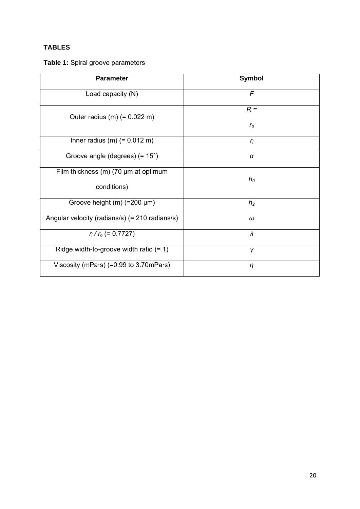# **TABLES**

# **Table 1:** Spiral groove parameters

| <b>Parameter</b>                                           | <b>Symbol</b>        |
|------------------------------------------------------------|----------------------|
| Load capacity (N)                                          | $\mathcal{F}$        |
| Outer radius $(m)$ (= 0.022 m)                             | $R =$<br>$r_{\rm o}$ |
| Inner radius $(m)$ (= 0.012 m)                             | $r_i$                |
| Groove angle (degrees) (= 15°)                             | $\alpha$             |
| Film thickness $(m)$ (70 $\mu$ m at optimum<br>conditions) | $h_0$                |
| Groove height (m) (=200 µm)                                | h <sub>2</sub>       |
| Angular velocity (radians/s) (= 210 radians/s)             | $\omega$             |
| $r_i/r_o (= 0.7727)$                                       | $\lambda$            |
| Ridge width-to-groove width ratio $(= 1)$                  | γ                    |
| Viscosity (mPa·s) (=0.99 to 3.70mPa·s)                     | $\eta$               |